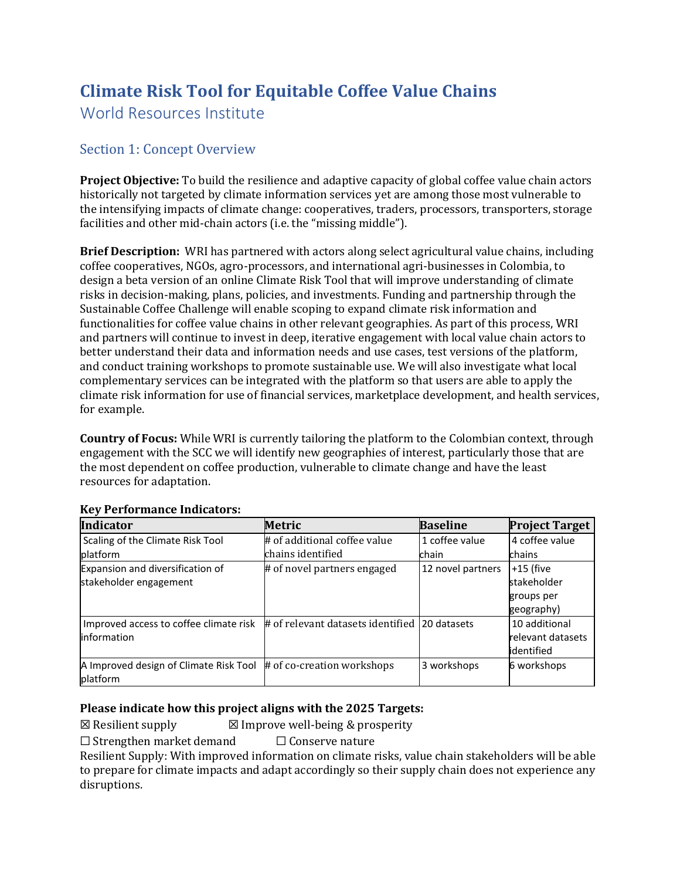# **Climate Risk Tool for Equitable Coffee Value Chains**

World Resources Institute

# Section 1: Concept Overview

**Project Objective:** To build the resilience and adaptive capacity of global coffee value chain actors historically not targeted by climate information services yet are among those most vulnerable to the intensifying impacts of climate change: cooperatives, traders, processors, transporters, storage facilities and other mid-chain actors (i.e. the "missing middle").

**Brief Description:** WRI has partnered with actors along select agricultural value chains, including coffee cooperatives, NGOs, agro-processors, and international agri-businesses in Colombia, to design a beta version of an online Climate Risk Tool that will improve understanding of climate risks in decision-making, plans, policies, and investments. Funding and partnership through the Sustainable Coffee Challenge will enable scoping to expand climate risk information and functionalities for coffee value chains in other relevant geographies. As part of this process, WRI and partners will continue to invest in deep, iterative engagement with local value chain actors to better understand their data and information needs and use cases, test versions of the platform, and conduct training workshops to promote sustainable use. We will also investigate what local complementary services can be integrated with the platform so that users are able to apply the climate risk information for use of financial services, marketplace development, and health services, for example.

**Country of Focus:** While WRI is currently tailoring the platform to the Colombian context, through engagement with the SCC we will identify new geographies of interest, particularly those that are the most dependent on coffee production, vulnerable to climate change and have the least resources for adaptation.

| <b>Indicator</b>                                   | <b>Metric</b>                                 | <b>Baseline</b>   | <b>Project Target</b> |
|----------------------------------------------------|-----------------------------------------------|-------------------|-----------------------|
| Scaling of the Climate Risk Tool                   | # of additional coffee value                  | 1 coffee value    | 4 coffee value        |
| platform                                           | chains identified                             | chain             | chains                |
| Expansion and diversification of                   | # of novel partners engaged                   | 12 novel partners | $+15$ (five           |
| stakeholder engagement                             |                                               |                   | stakeholder           |
|                                                    |                                               |                   | groups per            |
|                                                    |                                               |                   | geography)            |
| Improved access to coffee climate risk             | # of relevant datasets identified 20 datasets |                   | 10 additional         |
| information                                        |                                               |                   | relevant datasets     |
|                                                    |                                               |                   | identified            |
| A Improved design of Climate Risk Tool<br>platform | # of co-creation workshops                    | 3 workshops       | 6 workshops           |

### **Key Performance Indicators:**

#### **Please indicate how this project aligns with the 2025 Targets:**

 $\boxtimes$  Resilient supply  $\boxtimes$  Improve well-being & prosperity

 $\Box$  Strengthen market demand  $\Box$  Conserve nature

Resilient Supply: With improved information on climate risks, value chain stakeholders will be able to prepare for climate impacts and adapt accordingly so their supply chain does not experience any disruptions.